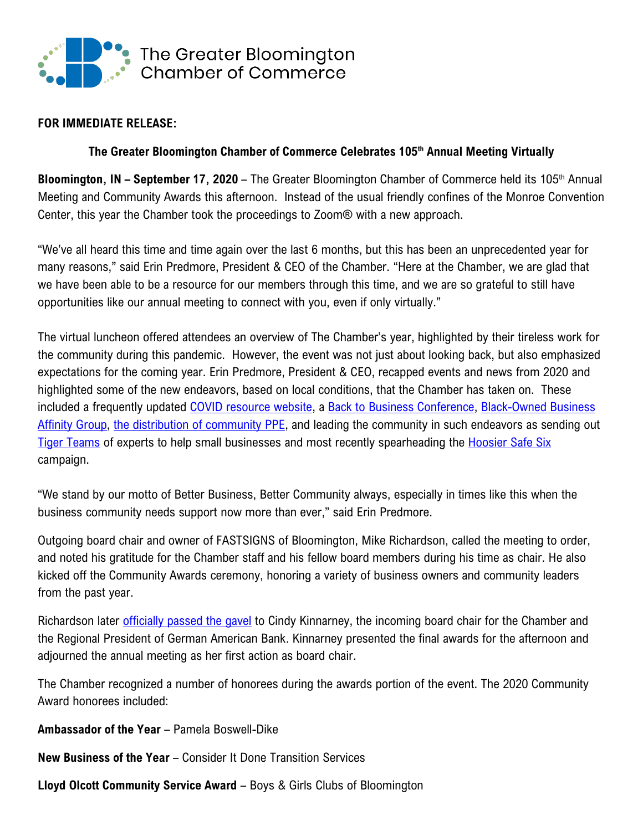

#### **FOR IMMEDIATE RELEASE:**

### **The Greater Bloomington Chamber of Commerce Celebrates 105th Annual Meeting Virtually**

**Bloomington, IN – September 17, 2020** – The Greater Bloomington Chamber of Commerce held its 105<sup>th</sup> Annual Meeting and Community Awards this afternoon. Instead of the usual friendly confines of the Monroe Convention Center, this year the Chamber took the proceedings to Zoom® with a new approach.

"We've all heard this time and time again over the last 6 months, but this has been an unprecedented year for many reasons," said Erin Predmore, President & CEO of the Chamber. "Here at the Chamber, we are glad that we have been able to be a resource for our members through this time, and we are so grateful to still have opportunities like our annual meeting to connect with you, even if only virtually."

The virtual luncheon offered attendees an overview of The Chamber's year, highlighted by their tireless work for the community during this pandemic. However, the event was not just about looking back, but also emphasized expectations for the coming year. Erin Predmore, President & CEO, recapped events and news from 2020 and highlighted some of the new endeavors, based on local conditions, that the Chamber has taken on. These included a frequently updated [COVID resource website,](https://www.chamberbloomington.org/covid19-resources.html) a [Back to Business Conference,](https://www.chamberbloomington.org/backtobusiness-conference.html) [Black-Owned Business](https://www.chamberbloomington.org/black-owned-business.html)  [Affinity Group,](https://www.chamberbloomington.org/black-owned-business.html) [the distribution of community PPE,](https://www.chamberbloomington.org/getppe-628950.html) and leading the community in such endeavors as sending out [Tiger Teams](https://www.chamberbloomington.org/tiger-teams.html) of experts to help small businesses and most recently spearheading the [Hoosier Safe Six](https://www.chamberbloomington.org/hoosier-safe-six.html) campaign.

"We stand by our motto of Better Business, Better Community always, especially in times like this when the business community needs support now more than ever," said Erin Predmore.

Outgoing board chair and owner of FASTSIGNS of Bloomington, Mike Richardson, called the meeting to order, and noted his gratitude for the Chamber staff and his fellow board members during his time as chair. He also kicked off the Community Awards ceremony, honoring a variety of business owners and community leaders from the past year.

Richardson later [officially passed the gavel](https://youtu.be/LncEw__UYVU) to Cindy Kinnarney, the incoming board chair for the Chamber and the Regional President of German American Bank. Kinnarney presented the final awards for the afternoon and adjourned the annual meeting as her first action as board chair.

The Chamber recognized a number of honorees during the awards portion of the event. The 2020 Community Award honorees included:

**Ambassador of the Year** – Pamela Boswell-Dike

**New Business of the Year** – Consider It Done Transition Services

**Lloyd Olcott Community Service Award** – Boys & Girls Clubs of Bloomington